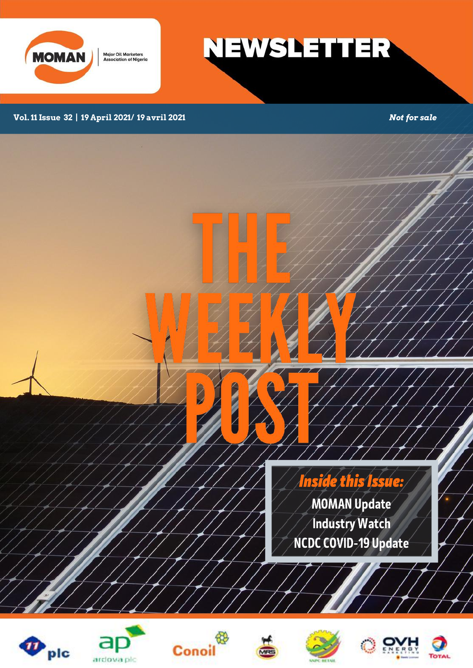

**Major Oil Marketers<br>Association of Nigeria** 

**NEWSLETTER** 

### **Vol. 11 Issue 32 | 19 April 2021/ 19 avril 2021** *Not for sale*

Inside this Issue: MOMAN Update Industry Watch NCDC COVID-19 Update







Z

**The State of the State of the State of the State of the State** 







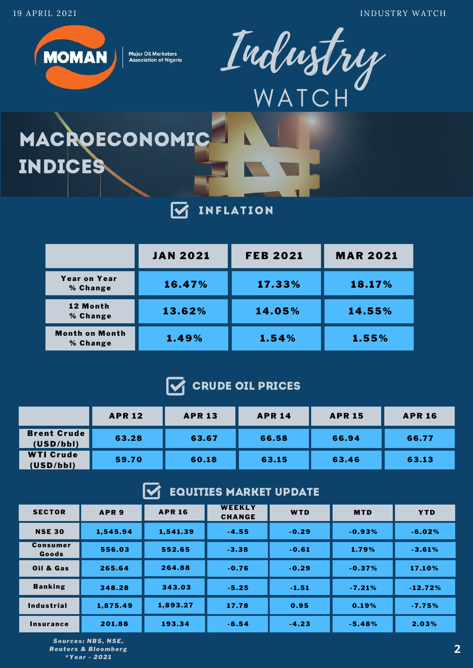19 APRIL 202 1 INDUSTRY WATCH



**Major Oil Marketers Association of Nigeria** 



# MACROECONOMIC INDICES

#### **INFLATION**  $\overline{\mathbf{M}}$

|                                   | <b>JAN 2021</b> | <b>FEB 2021</b> | <b>MAR 2021</b> |
|-----------------------------------|-----------------|-----------------|-----------------|
| <b>Year on Year</b><br>% Change   | 16.47%          | 17.33%          | 18.17%          |
| 12 Month<br>% Change              | 13.62%          | 14.05%          | 14.55%          |
| <b>Month on Month</b><br>% Change | 1.49%           | 1.54%           | 1.55%           |

# CRUDE OIL PRICES

|                                 | <b>APR 12</b> | <b>APR 13</b> | <b>APR 14</b> | <b>APR 15</b> | <b>APR 16</b> |
|---------------------------------|---------------|---------------|---------------|---------------|---------------|
| <b>Brent Crude</b><br>(USD/bbl) | 63.28         | 63.67         | 66.58         | 66.94         | 66.77         |
| <b>WTI Crude</b><br>(USD/bbl)   | 59.70         | 60.18         | 63.15         | 63.46         | 63.13         |

#### M EQUITIES MARKET UPDATE

| <b>SECTOR</b>     | APR <sub>9</sub> | <b>APR 16</b> | WEEKLY<br><b>CHANGE</b> | WTD     | <b>MTD</b> | <b>YTD</b> |
|-------------------|------------------|---------------|-------------------------|---------|------------|------------|
| <b>NSE 30</b>     | 1,545.94         | 1,541.39      | $-4.55$                 | $-0.29$ | $-0.93%$   | $-6.02%$   |
| Consumer<br>Goods | 556.03           | 552.65        | $-3.38$                 | $-0.61$ | 1.79%      | $-3.61%$   |
| Oil & Gas         | 265.64           | 264.88        | $-0.76$                 | $-0.29$ | $-0.37%$   | 17.10%     |
| <b>Banking</b>    | 348.28           | 343.03        | $-5.25$                 | $-1.51$ | $-7.21%$   | $-12.72%$  |
| <b>Industrial</b> | 1,875.49         | 1,893.27      | 17.78                   | 0.95    | 0.19%      | $-7.75%$   |
| Insurance         | 201.88           | 193.34        | $-8.54$                 | $-4.23$ | $-5.48%$   | 2.03%      |

*Sour ces : NBS, NSE, Reuter s & Bloomberg \*Year - 2021*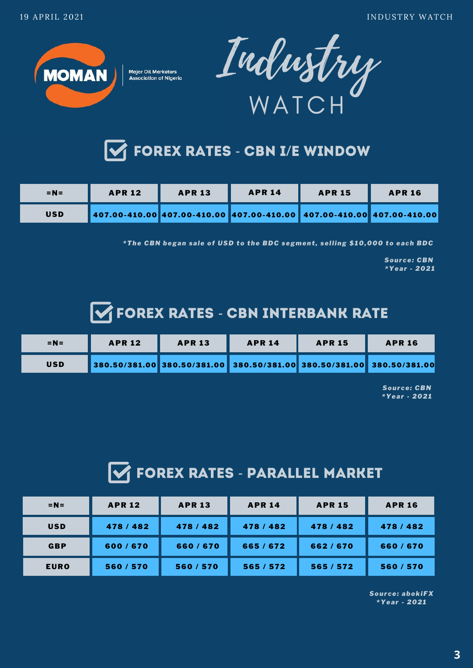**MOMAN** 



**Major Oil Marketers Association of Nigeria** 



| $=N=$      | <b>APR 12</b>                                                                     | <b>APR 13</b> | <b>APR 14</b> | <b>APR 15</b> | <b>APR 16</b> |
|------------|-----------------------------------------------------------------------------------|---------------|---------------|---------------|---------------|
| <b>USD</b> | 407.00-410.00    407.00-410.00    407.00-410.00    407.00-410.00    407.00-410.00 |               |               |               |               |

*\*The CBN began sale of USD to the BDC segment , selling \$10,000 to each BDC*

*Sour ce: CBN \*Year - 2021*

# **SEX RATES - CBN INTERBANK RATE**

| $=N=$      | <b>APR 12</b>                                                         | <b>APR 13</b> | <b>APR 14</b> | <b>APR 15</b> | <b>APR 16</b> |
|------------|-----------------------------------------------------------------------|---------------|---------------|---------------|---------------|
| <b>USD</b> | 380.50/381.00 380.50/381.00 380.50/381.00 380.50/381.00 380.50/381.00 |               |               |               |               |

*Sour ce: CBN \*Year - 2021*

# **THE FOREX RATES - PARALLEL MARKET**

| $=N=$       | <b>APR 12</b> | <b>APR 13</b> | <b>APR 14</b> | <b>APR 15</b> | <b>APR 16</b> |
|-------------|---------------|---------------|---------------|---------------|---------------|
| <b>USD</b>  | 478 / 482     | 478 / 482     | 478/482       | 478/482       | 478/482       |
| <b>GBP</b>  | 600/670       | 660/670       | 665/672       | 662/670       | 660/670       |
| <b>EURO</b> | 560/570       | 560/570       | 565 / 572     | 565/572       | 560/570       |

*Sour ce: abokiFX \*Year - 2021*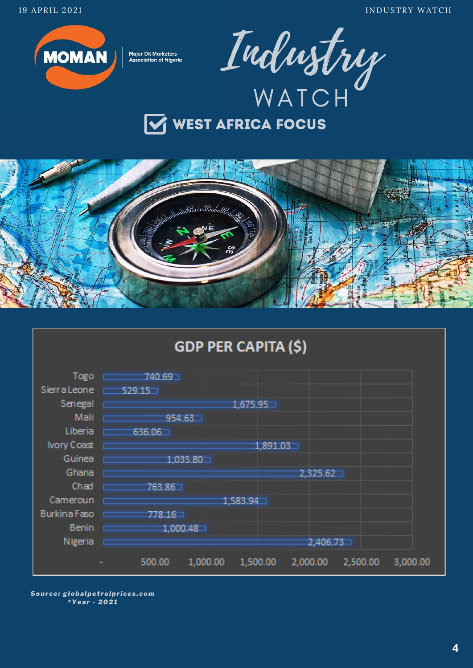

**Major Oil Marketers Association of Nigeria** 





#### **GDP PER CAPITA (\$)**  $Togo$   $740.69$ <br>Sierra Leone  $529.15$ Senegal  $\Box$  $1,675.95 -$ Mali <u>E</u>  $954.63 -$ Liberia  $\blacksquare$ 636 06 1 Ivory Coast  $1.891.03 -$ Guinea  $\equiv$  $1,035.80 -$ Ghana  $\square$  $2,325.62 -$ Chad  $\Box$ 763.86 Cameroun p  $1.583.94 -$ Burkina Faso d  $778.16 -$ Benin E  $1,000.48 -$ Nigeria E  $2,406.73 -$ 500.00 1,000.00 1,500.00 2,000.00 2,500.00 3,000.00

Source: globalpetrolprices.com \*Year - 2021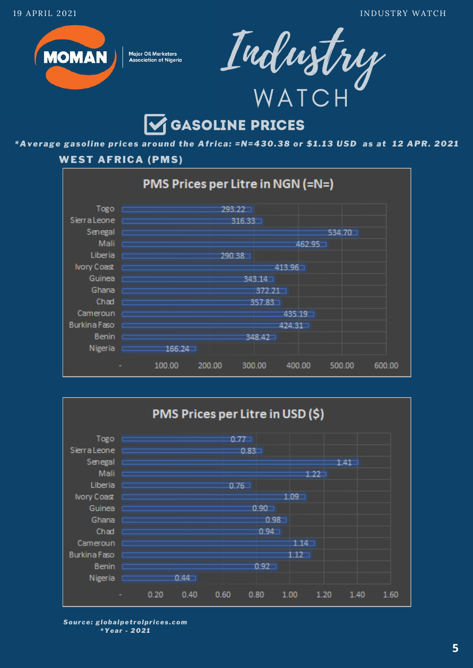

**Major Oil Marketers Association of Nigeria** 



# *GASOLINE PRICES*

\*Average gasoline prices around the Africa: =N=430.38 or \$1.13 USD as at 12 APR. 2021

## **WEST AFRICA (PMS)**





Source: globalpetrolprices.com \*Year - 2021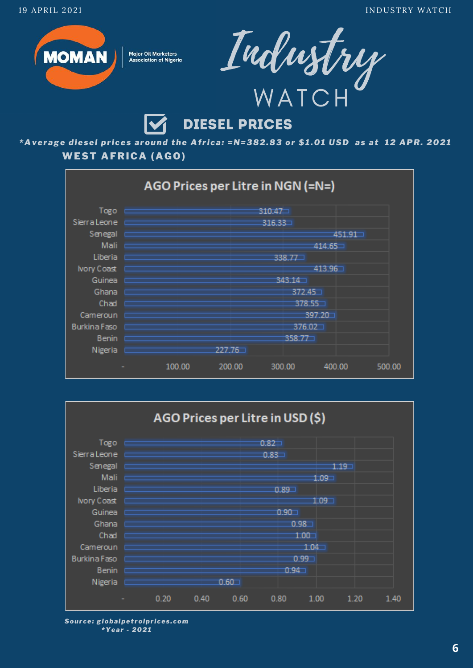

**Major Oil Marketers Association of Nigeria** 



# **DIESEL PRICES**

\*Average diesel prices around the Africa: =N=382.83 or \$1.01 USD as at 12 APR. 2021 **WEST AFRICA (AGO)** 





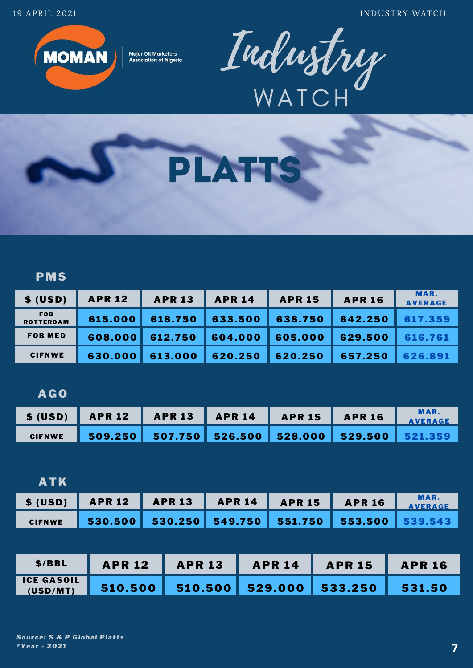19 APRIL 2021 **INDUSTRY WATCH** 



**Major Oil Marketers Association of Nigeria** 





## PMS

| \$ (USD)                       | <b>APR 12</b> | <b>APR 13</b> | <b>APR 14</b> | <b>APR 15</b> | <b>APR 16</b> | MAR.<br><b>AVERAGE</b> |
|--------------------------------|---------------|---------------|---------------|---------------|---------------|------------------------|
| <b>FOB</b><br><b>ROTTERDAM</b> | 615.000       | 618.750       | 633.500       | 638.750       | 642.250       | 617.359                |
| <b>FOB MED</b>                 | 608,000       | 612.750       | 604.000       | 605.000       | 629.500       | 616.761                |
| <b>CIFNWE</b>                  | 630.000       | 613.000       | 620.250       | 620.250       | 657.250       | 626.891                |

### AGO

| S (USD)   APR 12   APR 13   APR 14   APR 15   APR 16   MAR. |  |  |  |
|-------------------------------------------------------------|--|--|--|
| CIFNWE 509.250 507.750 526.500 528.000 529.500 521.359      |  |  |  |

| <b>ATK</b> |                                                        |  |  |                        |
|------------|--------------------------------------------------------|--|--|------------------------|
|            | \$ (USD)   APR 12   APR 13   APR 14   APR 15   APR 16  |  |  | <b>MAR.</b><br>AVERAGE |
|            | CIFNWE 530.500 530.250 549.750 551.750 553.500 539.543 |  |  |                        |

| \$/BBL                        | <b>APR 12</b> | <b>APR 13</b> | APR 14 | <b>APR 15 APR 16</b> |        |
|-------------------------------|---------------|---------------|--------|----------------------|--------|
| <b>ICE GASOIL</b><br>(USD/MT) |               |               |        |                      | 531.50 |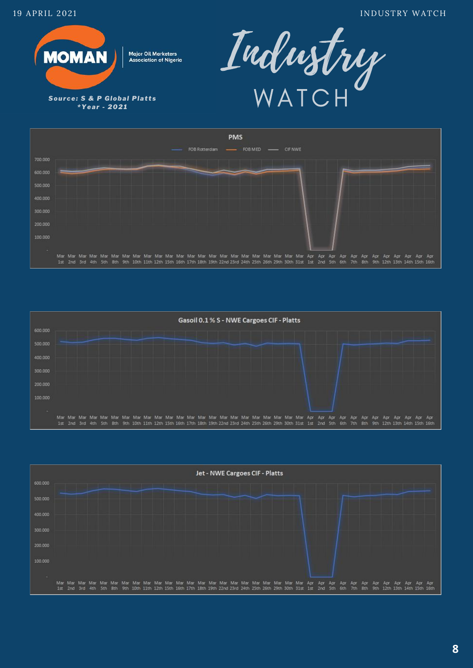

\*Year - 2021







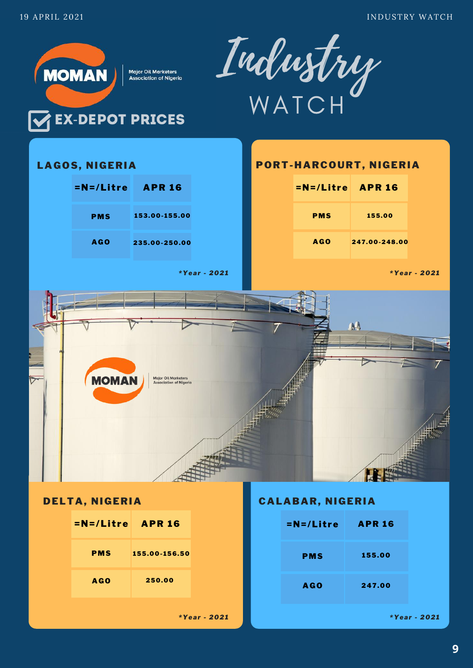